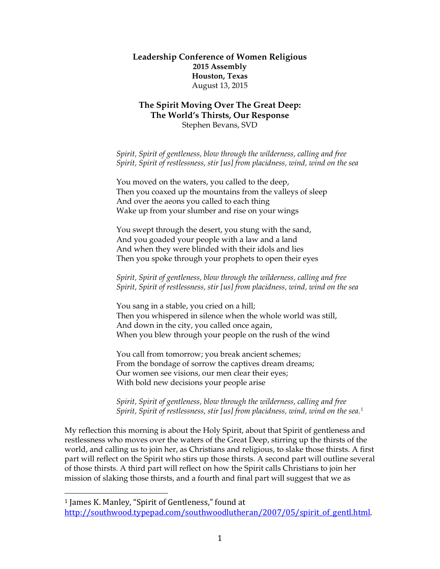#### **Leadership Conference of Women Religious 2015 Assembly Houston, Texas** August 13, 2015

### **The Spirit Moving Over The Great Deep: The World's Thirsts, Our Response** Stephen Bevans, SVD

*Spirit, Spirit of gentleness, blow through the wilderness, calling and free Spirit, Spirit of restlessness, stir [us] from placidness, wind, wind on the sea*

You moved on the waters, you called to the deep, Then you coaxed up the mountains from the valleys of sleep And over the aeons you called to each thing Wake up from your slumber and rise on your wings

You swept through the desert, you stung with the sand, And you goaded your people with a law and a land And when they were blinded with their idols and lies Then you spoke through your prophets to open their eyes

*Spirit, Spirit of gentleness, blow through the wilderness, calling and free Spirit, Spirit of restlessness, stir [us] from placidness, wind, wind on the sea*

You sang in a stable, you cried on a hill; Then you whispered in silence when the whole world was still, And down in the city, you called once again, When you blew through your people on the rush of the wind

You call from tomorrow; you break ancient schemes; From the bondage of sorrow the captives dream dreams; Our women see visions, our men clear their eyes; With bold new decisions your people arise

*Spirit, Spirit of gentleness, blow through the wilderness, calling and free Spirit, Spirit of restlessness, stir [us] from placidness, wind, wind on the sea.*<sup>[1](#page-0-0)</sup>

My reflection this morning is about the Holy Spirit, about that Spirit of gentleness and restlessness who moves over the waters of the Great Deep, stirring up the thirsts of the world, and calling us to join her, as Christians and religious, to slake those thirsts. A first part will reflect on the Spirit who stirs up those thirsts. A second part will outline several of those thirsts. A third part will reflect on how the Spirit calls Christians to join her mission of slaking those thirsts, and a fourth and final part will suggest that we as

<span id="page-0-0"></span> <sup>1</sup> James K. Manley, "Spirit of Gentleness," found at http://southwood.typepad.com/southwoodlutheran/2007/05/spirit of gentl.html.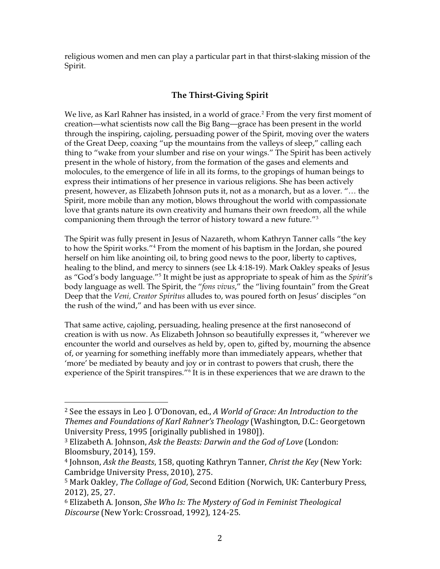religious women and men can play a particular part in that thirst-slaking mission of the Spirit.

# **The Thirst-Giving Spirit**

We live, as Karl Rahner has insisted, in a world of grace.<sup>[2](#page-1-0)</sup> From the very first moment of creation—what scientists now call the Big Bang—grace has been present in the world through the inspiring, cajoling, persuading power of the Spirit, moving over the waters of the Great Deep, coaxing "up the mountains from the valleys of sleep," calling each thing to "wake from your slumber and rise on your wings." The Spirit has been actively present in the whole of history, from the formation of the gases and elements and molocules, to the emergence of life in all its forms, to the gropings of human beings to express their intimations of her presence in various religions. She has been actively present, however, as Elizabeth Johnson puts it, not as a monarch, but as a lover. "… the Spirit, more mobile than any motion, blows throughout the world with compassionate love that grants nature its own creativity and humans their own freedom, all the while companioning them through the terror of history toward a new future."[3](#page-1-1)

The Spirit was fully present in Jesus of Nazareth, whom Kathryn Tanner calls "the key to how the Spirit works."[4](#page-1-2) From the moment of his baptism in the Jordan, she poured herself on him like anointing oil, to bring good news to the poor, liberty to captives, healing to the blind, and mercy to sinners (see Lk 4:18-19). Mark Oakley speaks of Jesus as "God's body language."[5](#page-1-3) It might be just as appropriate to speak of him as the *Spirit*'s body language as well. The Spirit, the "*fons vivus*," the "living fountain" from the Great Deep that the *Veni, Creator Spiritus* alludes to, was poured forth on Jesus' disciples "on the rush of the wind," and has been with us ever since.

That same active, cajoling, persuading, healing presence at the first nanosecond of creation is with us now. As Elizabeth Johnson so beautifully expresses it, "wherever we encounter the world and ourselves as held by, open to, gifted by, mourning the absence of, or yearning for something ineffably more than immediately appears, whether that 'more' be mediated by beauty and joy or in contrast to powers that crush, there the experience of the Spirit transpires."<sup>[6](#page-1-4)</sup> It is in these experiences that we are drawn to the

<span id="page-1-0"></span> <sup>2</sup> See the essays in Leo J. O'Donovan, ed., *A World of Grace: An Introduction to the Themes and Foundations of Karl Rahner's Theology* (Washington, D.C.: Georgetown University Press, 1995 [originally published in 1980]).

<span id="page-1-1"></span><sup>3</sup> Elizabeth A. Johnson, *Ask the Beasts: Darwin and the God of Love* (London: Bloomsbury, 2014), 159.

<span id="page-1-2"></span><sup>4</sup> Johnson, *Ask the Beasts*, 158, quoting Kathryn Tanner, *Christ the Key* (New York: Cambridge University Press, 2010), 275.

<span id="page-1-3"></span><sup>5</sup> Mark Oakley, *The Collage of God*, Second Edition (Norwich, UK: Canterbury Press, 2012), 25, 27.

<span id="page-1-4"></span><sup>6</sup> Elizabeth A. Jonson, *She Who Is: The Mystery of God in Feminist Theological Discourse* (New York: Crossroad, 1992), 124-25.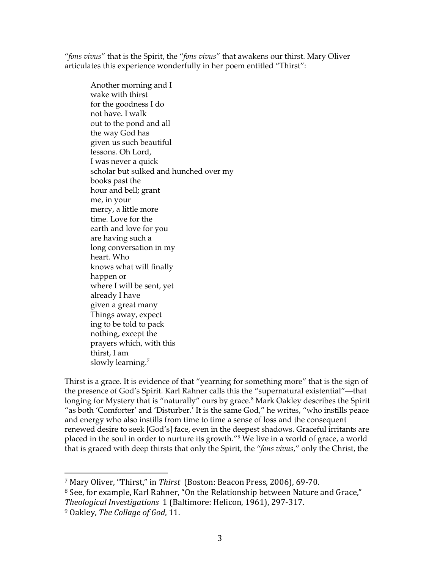"*fons vivus*" that is the Spirit, the "*fons vivus*" that awakens our thirst. Mary Oliver articulates this experience wonderfully in her poem entitled "Thirst":

Another morning and I wake with thirst for the goodness I do not have. I walk out to the pond and all the way God has given us such beautiful lessons. Oh Lord, I was never a quick scholar but sulked and hunched over my books past the hour and bell; grant me, in your mercy, a little more time. Love for the earth and love for you are having such a long conversation in my heart. Who knows what will finally happen or where I will be sent, yet already I have given a great many Things away, expect ing to be told to pack nothing, except the prayers which, with this thirst, I am slowly learning.<sup>[7](#page-2-0)</sup>

Thirst is a grace. It is evidence of that "yearning for something more" that is the sign of the presence of God's Spirit. Karl Rahner calls this the "supernatural existential"—that longing for Mystery that is "naturally" ours by grace.<sup>[8](#page-2-1)</sup> Mark Oakley describes the Spirit "as both 'Comforter' and 'Disturber.' It is the same God," he writes, "who instills peace and energy who also instills from time to time a sense of loss and the consequent renewed desire to seek [God's] face, even in the deepest shadows. Graceful irritants are placed in the soul in order to nurture its growth."[9](#page-2-2) We live in a world of grace, a world that is graced with deep thirsts that only the Spirit, the "*fons vivus*," only the Christ, the

<span id="page-2-0"></span> <sup>7</sup> Mary Oliver, "Thirst," in *Thirst* (Boston: Beacon Press, 2006), 69-70.

<span id="page-2-1"></span><sup>&</sup>lt;sup>8</sup> See, for example, Karl Rahner, "On the Relationship between Nature and Grace," *Theological Investigations* 1 (Baltimore: Helicon, 1961), 297-317.

<span id="page-2-2"></span><sup>9</sup> Oakley, *The Collage of God*, 11.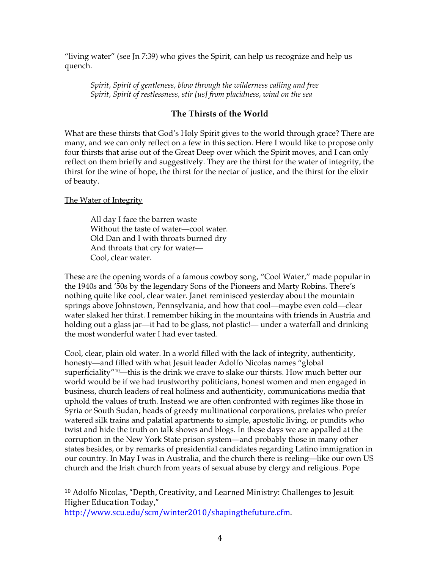"living water" (see Jn 7:39) who gives the Spirit, can help us recognize and help us quench.

*Spirit, Spirit of gentleness, blow through the wilderness calling and free Spirit, Spirit of restlessness, stir [us] from placidness, wind on the sea*

## **The Thirsts of the World**

What are these thirsts that God's Holy Spirit gives to the world through grace? There are many, and we can only reflect on a few in this section. Here I would like to propose only four thirsts that arise out of the Great Deep over which the Spirit moves, and I can only reflect on them briefly and suggestively. They are the thirst for the water of integrity, the thirst for the wine of hope, the thirst for the nectar of justice, and the thirst for the elixir of beauty.

### The Water of Integrity

All day I face the barren waste Without the taste of water—cool water. Old Dan and I with throats burned dry And throats that cry for water— Cool, clear water.

These are the opening words of a famous cowboy song, "Cool Water," made popular in the 1940s and '50s by the legendary Sons of the Pioneers and Marty Robins. There's nothing quite like cool, clear water. Janet reminisced yesterday about the mountain springs above Johnstown, Pennsylvania, and how that cool—maybe even cold—clear water slaked her thirst. I remember hiking in the mountains with friends in Austria and holding out a glass jar—it had to be glass, not plastic!— under a waterfall and drinking the most wonderful water I had ever tasted.

Cool, clear, plain old water. In a world filled with the lack of integrity, authenticity, honesty—and filled with what Jesuit leader Adolfo Nicolas names "global superficiality $^{\prime\prime\prime0}$ —this is the drink we crave to slake our thirsts. How much better our world would be if we had trustworthy politicians, honest women and men engaged in business, church leaders of real holiness and authenticity, communications media that uphold the values of truth. Instead we are often confronted with regimes like those in Syria or South Sudan, heads of greedy multinational corporations, prelates who prefer watered silk trains and palatial apartments to simple, apostolic living, or pundits who twist and hide the truth on talk shows and blogs. In these days we are appalled at the corruption in the New York State prison system—and probably those in many other states besides, or by remarks of presidential candidates regarding Latino immigration in our country. In May I was in Australia, and the church there is reeling—like our own US church and the Irish church from years of sexual abuse by clergy and religious. Pope

<span id="page-3-0"></span> <sup>10</sup> Adolfo Nicolas, "Depth, Creativity, and Learned Ministry: Challenges to Jesuit Higher Education Today,"

[http://www.scu.edu/scm/winter2010/shapingthefuture.cfm.](http://www.scu.edu/scm/winter2010/shapingthefuture.cfm)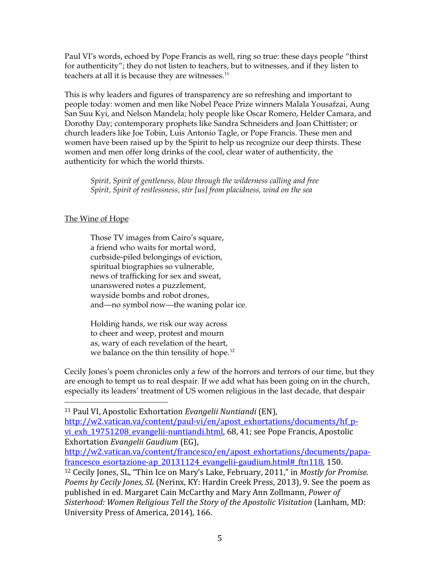Paul VI's words, echoed by Pope Francis as well, ring so true: these days people "thirst for authenticity"; they do not listen to teachers, but to witnesses, and if they listen to teachers at all it is because they are witnesses.<sup>[11](#page-4-0)</sup>

This is why leaders and figures of transparency are so refreshing and important to people today: women and men like Nobel Peace Prize winners Malala Yousafzai, Aung San Suu Kyi, and Nelson Mandela; holy people like Oscar Romero, Helder Camara, and Dorothy Day; contemporary prophets like Sandra Schneiders and Joan Chittister; or church leaders like Joe Tobin, Luis Antonio Tagle, or Pope Francis. These men and women have been raised up by the Spirit to help us recognize our deep thirsts. These women and men offer long drinks of the cool, clear water of authenticity, the authenticity for which the world thirsts.

*Spirit, Spirit of gentleness, blow through the wilderness calling and free Spirit, Spirit of restlessness, stir [us] from placidness, wind on the sea*

### The Wine of Hope

Those TV images from Cairo's square, a friend who waits for mortal word, curbside-piled belongings of eviction, spiritual biographies so vulnerable, news of trafficking for sex and sweat, unanswered notes a puzzlement, wayside bombs and robot drones, and—no symbol now—the waning polar ice.

Holding hands, we risk our way across to cheer and weep, protest and mourn as, wary of each revelation of the heart, we balance on the thin tensility of hope.<sup>[12](#page-4-1)</sup>

Cecily Jones's poem chronicles only a few of the horrors and terrors of our time, but they are enough to tempt us to real despair. If we add what has been going on in the church, especially its leaders' treatment of US women religious in the last decade, that despair

<span id="page-4-0"></span>11 Paul VI, Apostolic Exhortation *Evangelii Nuntiandi* (EN),

[http://w2.vatican.va/content/paul-vi/en/apost\\_exhortations/documents/hf\\_p](http://w2.vatican.va/content/paul-vi/en/apost_exhortations/documents/hf_p-vi_exh_19751208_evangelii-nuntiandi.html)vi exh 19751208 evangelii-nuntiandi.html, 68, 41; see Pope Francis, Apostolic Exhortation *Evangelii Gaudium* (EG),

[http://w2.vatican.va/content/francesco/en/apost\\_exhortations/documents/papa](http://w2.vatican.va/content/francesco/en/apost_exhortations/documents/papa-francesco_esortazione-ap_20131124_evangelii-gaudium.html%23_ftn118)francesco esortazione-ap 20131124 evangelii-gaudium.html# ftn118, 150.

<span id="page-4-1"></span><sup>12</sup> Cecily Jones, SL, "Thin Ice on Mary's Lake, February, 2011," in *Mostly for Promise. Poems by Cecily Jones, SL* (Nerinx, KY: Hardin Creek Press, 2013), 9. See the poem as published in ed. Margaret Cain McCarthy and Mary Ann Zollmann, *Power of Sisterhood: Women Religious Tell the Story of the Apostolic Visitation* (Lanham, MD: University Press of America, 2014), 166.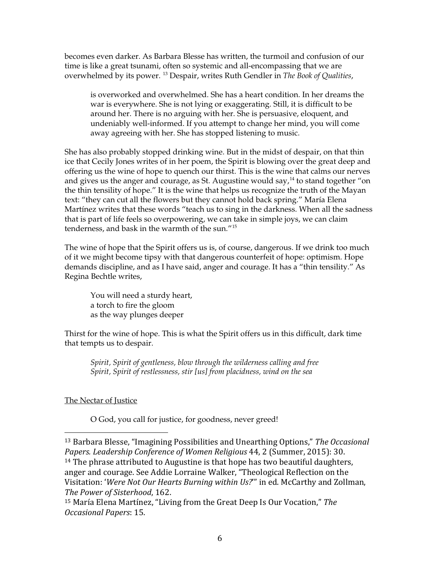becomes even darker. As Barbara Blesse has written, the turmoil and confusion of our time is like a great tsunami, often so systemic and all-encompassing that we are overwhelmed by its power. [13](#page-5-0) Despair, writes Ruth Gendler in *The Book of Qualities*,

is overworked and overwhelmed. She has a heart condition. In her dreams the war is everywhere. She is not lying or exaggerating. Still, it is difficult to be around her. There is no arguing with her. She is persuasive, eloquent, and undeniably well-informed. If you attempt to change her mind, you will come away agreeing with her. She has stopped listening to music.

She has also probably stopped drinking wine. But in the midst of despair, on that thin ice that Cecily Jones writes of in her poem, the Spirit is blowing over the great deep and offering us the wine of hope to quench our thirst. This is the wine that calms our nerves and gives us the anger and courage, as St. Augustine would say,<sup>[14](#page-5-1)</sup> to stand together "on the thin tensility of hope." It is the wine that helps us recognize the truth of the Mayan text: "they can cut all the flowers but they cannot hold back spring." María Elena Martínez writes that these words "teach us to sing in the darkness. When all the sadness that is part of life feels so overpowering, we can take in simple joys, we can claim tenderness, and bask in the warmth of the sun."[15](#page-5-2) 

The wine of hope that the Spirit offers us is, of course, dangerous. If we drink too much of it we might become tipsy with that dangerous counterfeit of hope: optimism. Hope demands discipline, and as I have said, anger and courage. It has a "thin tensility." As Regina Bechtle writes,

You will need a sturdy heart, a torch to fire the gloom as the way plunges deeper

Thirst for the wine of hope. This is what the Spirit offers us in this difficult, dark time that tempts us to despair.

*Spirit, Spirit of gentleness, blow through the wilderness calling and free Spirit, Spirit of restlessness, stir [us] from placidness, wind on the sea*

# The Nectar of Justice

O God, you call for justice, for goodness, never greed!

<span id="page-5-1"></span><span id="page-5-0"></span> <sup>13</sup> Barbara Blesse, "Imagining Possibilities and Unearthing Options," *The Occasional Papers. Leadership Conference of Women Religious* 44, 2 (Summer, 2015): 30. <sup>14</sup> The phrase attributed to Augustine is that hope has two beautiful daughters, anger and courage. See Addie Lorraine Walker, "Theological Reflection on the Visitation: '*Were Not Our Hearts Burning within Us?*'" in ed. McCarthy and Zollman, *The Power of Sisterhood*, 162.

<span id="page-5-2"></span><sup>15</sup> María Elena Martínez, "Living from the Great Deep Is Our Vocation," *The Occasional Papers*: 15.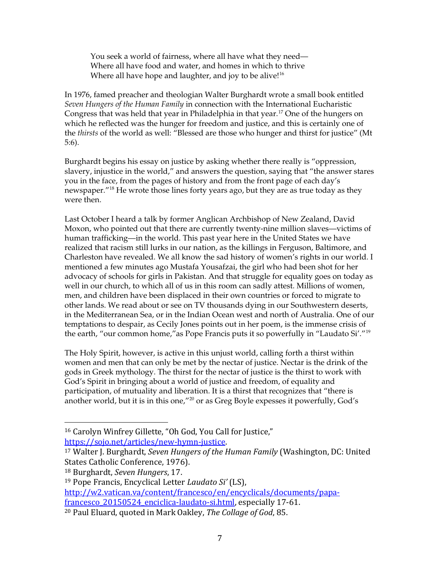You seek a world of fairness, where all have what they need— Where all have food and water, and homes in which to thrive Where all have hope and laughter, and joy to be alive!<sup>[16](#page-6-0)</sup>

In 1976, famed preacher and theologian Walter Burghardt wrote a small book entitled *Seven Hungers of the Human Family* in connection with the International Eucharistic Congress that was held that year in Philadelphia in that year.<sup>[17](#page-6-1)</sup> One of the hungers on which he reflected was the hunger for freedom and justice, and this is certainly one of the *thirsts* of the world as well: "Blessed are those who hunger and thirst for justice" (Mt 5:6).

Burghardt begins his essay on justice by asking whether there really is "oppression, slavery, injustice in the world," and answers the question, saying that "the answer stares you in the face, from the pages of history and from the front page of each day's newspaper.<sup>"[18](#page-6-2)</sup> He wrote those lines forty years ago, but they are as true today as they were then.

Last October I heard a talk by former Anglican Archbishop of New Zealand, David Moxon, who pointed out that there are currently twenty-nine million slaves—victims of human trafficking—in the world. This past year here in the United States we have realized that racism still lurks in our nation, as the killings in Ferguson, Baltimore, and Charleston have revealed. We all know the sad history of women's rights in our world. I mentioned a few minutes ago Mustafa Yousafzai, the girl who had been shot for her advocacy of schools for girls in Pakistan. And that struggle for equality goes on today as well in our church, to which all of us in this room can sadly attest. Millions of women, men, and children have been displaced in their own countries or forced to migrate to other lands. We read about or see on TV thousands dying in our Southwestern deserts, in the Mediterranean Sea, or in the Indian Ocean west and north of Australia. One of our temptations to despair, as Cecily Jones points out in her poem, is the immense crisis of the earth, "our common home,"as Pope Francis puts it so powerfully in "Laudato Si'."[19](#page-6-3)

The Holy Spirit, however, is active in this unjust world, calling forth a thirst within women and men that can only be met by the nectar of justice. Nectar is the drink of the gods in Greek mythology. The thirst for the nectar of justice is the thirst to work with God's Spirit in bringing about a world of justice and freedom, of equality and participation, of mutuality and liberation. It is a thirst that recognizes that "there is another world, but it is in this one,"<sup>[20](#page-6-4)</sup> or as Greg Boyle expesses it powerfully, God's

[http://w2.vatican.va/content/francesco/en/encyclicals/documents/papa-](http://w2.vatican.va/content/francesco/en/encyclicals/documents/papa-francesco_20150524_enciclica-laudato-si.html)

<span id="page-6-0"></span><sup>&</sup>lt;sup>16</sup> Carolyn Winfrey Gillette, "Oh God, You Call for Justice,"<br>https://sojo.net/articles/new-hymn-justice.

<span id="page-6-1"></span><sup>&</sup>lt;sup>17</sup> Walter J. Burghardt, *Seven Hungers of the Human Family* (Washington, DC: United States Catholic Conference, 1976).

<span id="page-6-2"></span><sup>18</sup> Burghardt, *Seven Hungers*, 17.

<span id="page-6-3"></span><sup>19</sup> Pope Francis, Encyclical Letter *Laudato Si'* (LS),

francesco 20150524 enciclica-laudato-si.html, especially 17-61.

<span id="page-6-4"></span><sup>20</sup> Paul Eluard, quoted in Mark Oakley, *The Collage of God*, 85.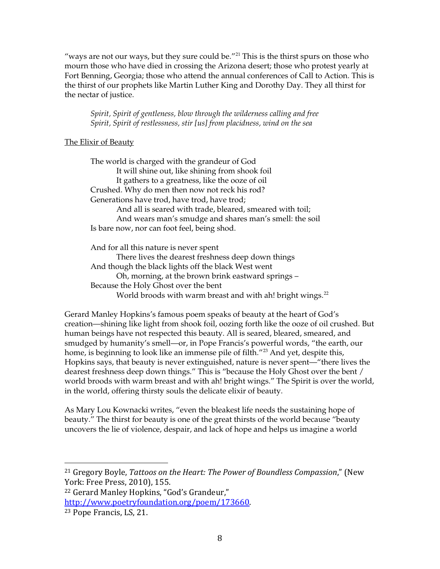"ways are not our ways, but they sure could be."<sup>[21](#page-7-0)</sup> This is the thirst spurs on those who mourn those who have died in crossing the Arizona desert; those who protest yearly at Fort Benning, Georgia; those who attend the annual conferences of Call to Action. This is the thirst of our prophets like Martin Luther King and Dorothy Day. They all thirst for the nectar of justice.

*Spirit, Spirit of gentleness, blow through the wilderness calling and free Spirit, Spirit of restlessness, stir [us] from placidness, wind on the sea*

#### The Elixir of Beauty

The world is charged with the grandeur of God It will shine out, like shining from shook foil It gathers to a greatness, like the ooze of oil Crushed. Why do men then now not reck his rod? Generations have trod, have trod, have trod; And all is seared with trade, bleared, smeared with toil; And wears man's smudge and shares man's smell: the soil Is bare now, nor can foot feel, being shod.

And for all this nature is never spent There lives the dearest freshness deep down things And though the black lights off the black West went Oh, morning, at the brown brink eastward springs – Because the Holy Ghost over the bent World broods with warm breast and with ah! bright wings.<sup>[22](#page-7-1)</sup>

Gerard Manley Hopkins's famous poem speaks of beauty at the heart of God's creation—shining like light from shook foil, oozing forth like the ooze of oil crushed. But human beings have not respected this beauty. All is seared, bleared, smeared, and smudged by humanity's smell—or, in Pope Francis's powerful words, "the earth, our home, is beginning to look like an immense pile of filth.<sup>"[23](#page-7-2)</sup> And yet, despite this, Hopkins says, that beauty is never extinguished, nature is never spent—"there lives the dearest freshness deep down things." This is "because the Holy Ghost over the bent / world broods with warm breast and with ah! bright wings." The Spirit is over the world, in the world, offering thirsty souls the delicate elixir of beauty.

As Mary Lou Kownacki writes, "even the bleakest life needs the sustaining hope of beauty." The thirst for beauty is one of the great thirsts of the world because "beauty uncovers the lie of violence, despair, and lack of hope and helps us imagine a world

<span id="page-7-0"></span> <sup>21</sup> Gregory Boyle, *Tattoos on the Heart: The Power of Boundless Compassion*," (New York: Free Press, 2010), 155.

<span id="page-7-1"></span><sup>22</sup> Gerard Manley Hopkins, "God's Grandeur,"

<span id="page-7-2"></span>[http://www.poetryfoundation.org/poem/173660.](http://www.poetryfoundation.org/poem/173660)<br><sup>23</sup> Pope Francis, LS, 21.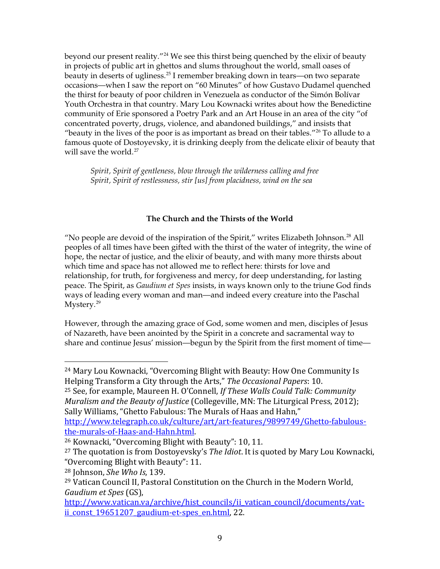beyond our present reality."<sup>[24](#page-8-0)</sup> We see this thirst being quenched by the elixir of beauty in projects of public art in ghettos and slums throughout the world, small oases of beauty in deserts of ugliness.<sup>[25](#page-8-1)</sup> I remember breaking down in tears—on two separate occasions—when I saw the report on "60 Minutes" of how Gustavo Dudamel quenched the thirst for beauty of poor children in Venezuela as conductor of the Simón Bolívar Youth Orchestra in that country. Mary Lou Kownacki writes about how the Benedictine community of Erie sponsored a Poetry Park and an Art House in an area of the city "of concentrated poverty, drugs, violence, and abandoned buildings," and insists that "beauty in the lives of the poor is as important as bread on their tables."<sup>[26](#page-8-2)</sup> To allude to a famous quote of Dostoyevsky, it is drinking deeply from the delicate elixir of beauty that will save the world.<sup>[27](#page-8-3)</sup>

*Spirit, Spirit of gentleness, blow through the wilderness calling and free Spirit, Spirit of restlessness, stir [us] from placidness, wind on the sea*

### **The Church and the Thirsts of the World**

"No people are devoid of the inspiration of the Spirit," writes Elizabeth Johnson.[28](#page-8-4) All peoples of all times have been gifted with the thirst of the water of integrity, the wine of hope, the nectar of justice, and the elixir of beauty, and with many more thirsts about which time and space has not allowed me to reflect here: thirsts for love and relationship, for truth, for forgiveness and mercy, for deep understanding, for lasting peace. The Spirit, as *Gaudium et Spes* insists, in ways known only to the triune God finds ways of leading every woman and man—and indeed every creature into the Paschal Mystery.<sup>[29](#page-8-5)</sup>

However, through the amazing grace of God, some women and men, disciples of Jesus of Nazareth, have been anointed by the Spirit in a concrete and sacramental way to share and continue Jesus' mission—begun by the Spirit from the first moment of time—

<span id="page-8-1"></span><sup>25</sup> See, for example, Maureen H. O'Connell, *If These Walls Could Talk: Community Muralism and the Beauty of Justice* (Collegeville, MN: The Liturgical Press, 2012); Sally Williams, "Ghetto Fabulous: The Murals of Haas and Hahn,"

http://www.telegraph.co.uk/culture/art/art-features/9899749/Ghetto-fabulous-<br>the-murals-of-Haas-and-Hahn.html.

<span id="page-8-0"></span> <sup>24</sup> Mary Lou Kownacki, "Overcoming Blight with Beauty: How One Community Is Helping Transform a City through the Arts," *The Occasional Papers*: 10.

<span id="page-8-2"></span><sup>&</sup>lt;sup>26</sup> Kownacki, "Overcoming Blight with Beauty": 10, 11.

<span id="page-8-3"></span><sup>27</sup> The quotation is from Dostoyevsky's *The Idiot*. It is quoted by Mary Lou Kownacki, "Overcoming Blight with Beauty": 11.

<span id="page-8-4"></span><sup>28</sup> Johnson, *She Who Is*, 139.

<span id="page-8-5"></span><sup>29</sup> Vatican Council II, Pastoral Constitution on the Church in the Modern World, *Gaudium et Spes* (GS),

[http://www.vatican.va/archive/hist\\_councils/ii\\_vatican\\_council/documents/vat](http://www.vatican.va/archive/hist_councils/ii_vatican_council/documents/vat-ii_const_19651207_gaudium-et-spes_en.html)ii const 19651207 gaudium-et-spes en.html, 22.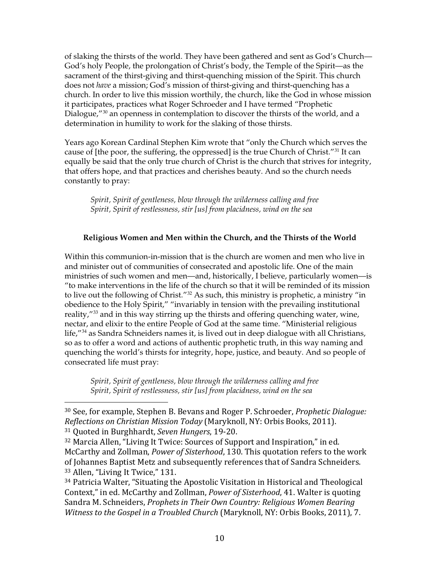of slaking the thirsts of the world. They have been gathered and sent as God's Church— God's holy People, the prolongation of Christ's body, the Temple of the Spirit—as the sacrament of the thirst-giving and thirst-quenching mission of the Spirit. This church does not *have* a mission; God's mission of thirst-giving and thirst-quenching has a church. In order to live this mission worthily, the church, like the God in whose mission it participates, practices what Roger Schroeder and I have termed "Prophetic Dialogue,<sup>"[30](#page-9-0)</sup> an openness in contemplation to discover the thirsts of the world, and a determination in humility to work for the slaking of those thirsts.

Years ago Korean Cardinal Stephen Kim wrote that "only the Church which serves the cause of [the poor, the suffering, the oppressed] is the true Church of Christ."<sup>[31](#page-9-1)</sup> It can equally be said that the only true church of Christ is the church that strives for integrity, that offers hope, and that practices and cherishes beauty. And so the church needs constantly to pray:

*Spirit, Spirit of gentleness, blow through the wilderness calling and free Spirit, Spirit of restlessness, stir [us] from placidness, wind on the sea*

# **Religious Women and Men within the Church, and the Thirsts of the World**

Within this communion-in-mission that is the church are women and men who live in and minister out of communities of consecrated and apostolic life. One of the main ministries of such women and men—and, historically, I believe, particularly women—is "to make interventions in the life of the church so that it will be reminded of its mission to live out the following of Christ."<sup>[32](#page-9-2)</sup> As such, this ministry is prophetic, a ministry "in obedience to the Holy Spirit," "invariably in tension with the prevailing institutional reality,"<sup>[33](#page-9-3)</sup> and in this way stirring up the thirsts and offering quenching water, wine, nectar, and elixir to the entire People of God at the same time. "Ministerial religious life,"[34](#page-9-4) as Sandra Schneiders names it, is lived out in deep dialogue with all Christians, so as to offer a word and actions of authentic prophetic truth, in this way naming and quenching the world's thirsts for integrity, hope, justice, and beauty. And so people of consecrated life must pray:

*Spirit, Spirit of gentleness, blow through the wilderness calling and free Spirit, Spirit of restlessness, stir [us] from placidness, wind on the sea*

<span id="page-9-0"></span> <sup>30</sup> See, for example, Stephen B. Bevans and Roger P. Schroeder, *Prophetic Dialogue: Reflections on Christian Mission Today* (Maryknoll, NY: Orbis Books, 2011). <sup>31</sup> Quoted in Burghhardt, *Seven Hungers*, 19-20.

<span id="page-9-2"></span><span id="page-9-1"></span><sup>32</sup> Marcia Allen, "Living It Twice: Sources of Support and Inspiration," in ed. McCarthy and Zollman, *Power of Sisterhood*, 130. This quotation refers to the work of Johannes Baptist Metz and subsequently references that of Sandra Schneiders. <sup>33</sup> Allen, "Living It Twice," 131.

<span id="page-9-4"></span><span id="page-9-3"></span><sup>34</sup> Patricia Walter, "Situating the Apostolic Visitation in Historical and Theological Context," in ed. McCarthy and Zollman, *Power of Sisterhood*, 41. Walter is quoting Sandra M. Schneiders, *Prophets in Their Own Country: Religious Women Bearing Witness to the Gospel in a Troubled Church* (Maryknoll, NY: Orbis Books, 2011), 7.